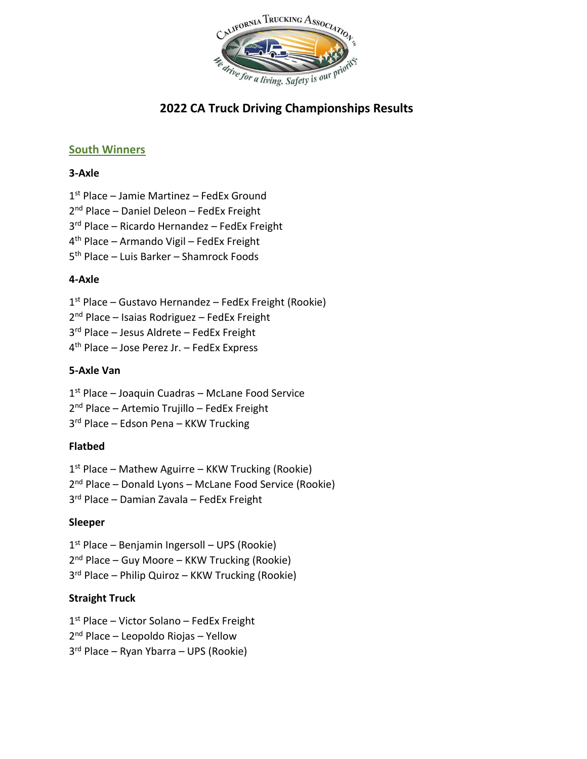

## **South Winners**

#### **3-Axle**

1 st Place – Jamie Martinez – FedEx Ground

2 nd Place – Daniel Deleon – FedEx Freight

3 rd Place – Ricardo Hernandez – FedEx Freight

4 th Place – Armando Vigil – FedEx Freight

5 th Place – Luis Barker – Shamrock Foods

#### **4-Axle**

1 st Place – Gustavo Hernandez – FedEx Freight (Rookie)

2<sup>nd</sup> Place – Isaias Rodriguez – FedEx Freight

3 rd Place – Jesus Aldrete – FedEx Freight

4 th Place – Jose Perez Jr. – FedEx Express

#### **5-Axle Van**

1 st Place – Joaquin Cuadras – McLane Food Service

- 2 nd Place Artemio Trujillo FedEx Freight
- 3 rd Place Edson Pena KKW Trucking

#### **Flatbed**

1 st Place – Mathew Aguirre – KKW Trucking (Rookie)

2<sup>nd</sup> Place – Donald Lyons – McLane Food Service (Rookie)

3 rd Place – Damian Zavala – FedEx Freight

#### **Sleeper**

1 st Place – Benjamin Ingersoll – UPS (Rookie)

2<sup>nd</sup> Place – Guy Moore – KKW Trucking (Rookie)

3 rd Place – Philip Quiroz – KKW Trucking (Rookie)

#### **Straight Truck**

1<sup>st</sup> Place - Victor Solano - FedEx Freight

2 nd Place – Leopoldo Riojas – Yellow

3 rd Place – Ryan Ybarra – UPS (Rookie)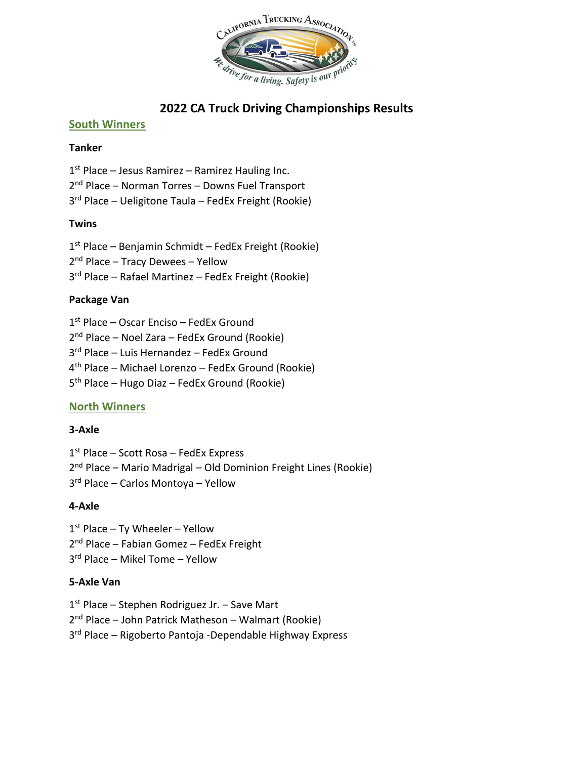

#### **South Winners**

#### **Tanker**

1<sup>st</sup> Place – Jesus Ramirez – Ramirez Hauling Inc. 2 nd Place – Norman Torres – Downs Fuel Transport 3 rd Place – Ueligitone Taula – FedEx Freight (Rookie)

#### **Twins**

1 st Place – Benjamin Schmidt – FedEx Freight (Rookie) 2 nd Place – Tracy Dewees – Yellow 3 rd Place – Rafael Martinez – FedEx Freight (Rookie)

#### **Package Van**

- 1 st Place Oscar Enciso FedEx Ground
- 2<sup>nd</sup> Place Noel Zara FedEx Ground (Rookie)
- 3 rd Place Luis Hernandez FedEx Ground
- 4 th Place Michael Lorenzo FedEx Ground (Rookie)
- 5 th Place Hugo Diaz FedEx Ground (Rookie)

# **North Winners**

#### **3-Axle**

1 st Place – Scott Rosa – FedEx Express

- 2<sup>nd</sup> Place Mario Madrigal Old Dominion Freight Lines (Rookie)
- 3 rd Place Carlos Montoya Yellow

# **4-Axle**

- 1<sup>st</sup> Place Ty Wheeler Yellow
- 2 nd Place Fabian Gomez FedEx Freight
- 3 rd Place Mikel Tome Yellow

#### **5-Axle Van**

- 1<sup>st</sup> Place Stephen Rodriguez Jr. Save Mart
- 2<sup>nd</sup> Place John Patrick Matheson Walmart (Rookie)
- 3 rd Place Rigoberto Pantoja -Dependable Highway Express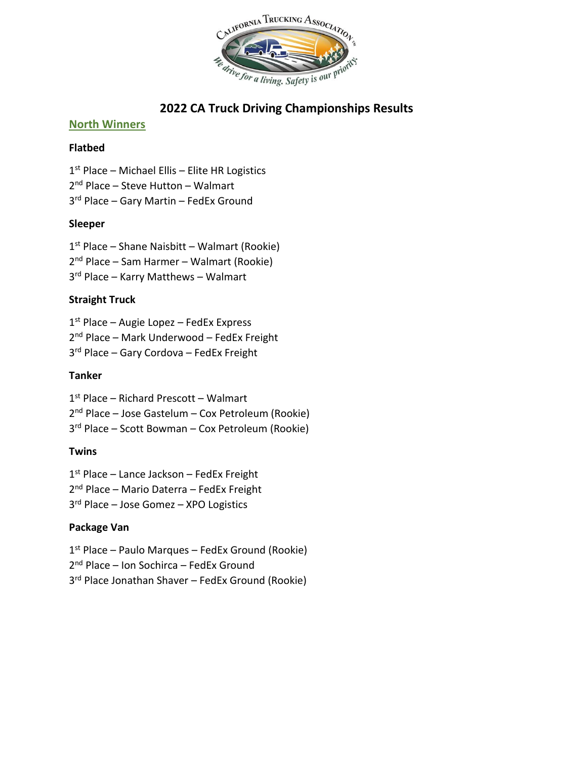

#### **North Winners**

#### **Flatbed**

 st Place – Michael Ellis – Elite HR Logistics nd Place – Steve Hutton – Walmart rd Place – Gary Martin – FedEx Ground

#### **Sleeper**

 st Place – Shane Naisbitt – Walmart (Rookie) nd Place – Sam Harmer – Walmart (Rookie) rd Place – Karry Matthews – Walmart

#### **Straight Truck**

 st Place – Augie Lopez – FedEx Express 2<sup>nd</sup> Place - Mark Underwood - FedEx Freight rd Place – Gary Cordova – FedEx Freight

### **Tanker**

st Place – Richard Prescott – Walmart

nd Place – Jose Gastelum – Cox Petroleum (Rookie)

rd Place – Scott Bowman – Cox Petroleum (Rookie)

# **Twins**

st Place – Lance Jackson – FedEx Freight

nd Place – Mario Daterra – FedEx Freight

rd Place – Jose Gomez – XPO Logistics

# **Package Van**

st Place – Paulo Marques – FedEx Ground (Rookie)

nd Place – Ion Sochirca – FedEx Ground

rd Place Jonathan Shaver – FedEx Ground (Rookie)